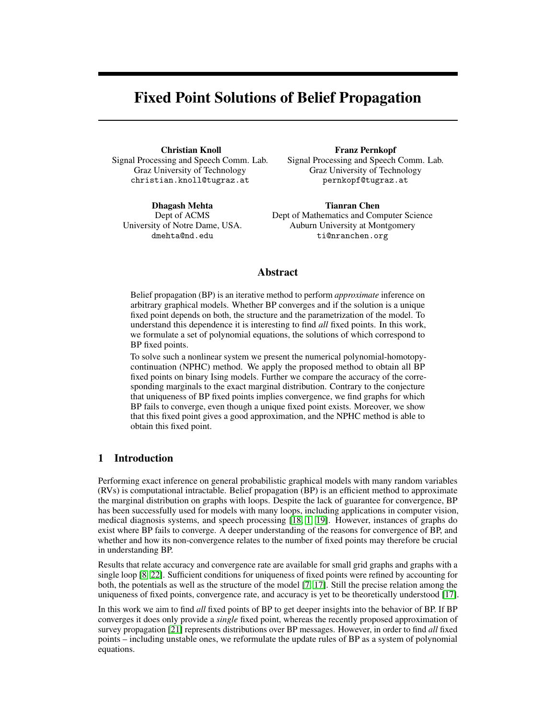# Fixed Point Solutions of Belief Propagation

Christian Knoll Signal Processing and Speech Comm. Lab. Graz University of Technology christian.knoll@tugraz.at

Dhagash Mehta Dept of ACMS University of Notre Dame, USA. dmehta@nd.edu

Franz Pernkopf Signal Processing and Speech Comm. Lab. Graz University of Technology pernkopf@tugraz.at

Tianran Chen Dept of Mathematics and Computer Science Auburn University at Montgomery ti@nranchen.org

## Abstract

Belief propagation (BP) is an iterative method to perform *approximate* inference on arbitrary graphical models. Whether BP converges and if the solution is a unique fixed point depends on both, the structure and the parametrization of the model. To understand this dependence it is interesting to find *all* fixed points. In this work, we formulate a set of polynomial equations, the solutions of which correspond to BP fixed points.

To solve such a nonlinear system we present the numerical polynomial-homotopycontinuation (NPHC) method. We apply the proposed method to obtain all BP fixed points on binary Ising models. Further we compare the accuracy of the corresponding marginals to the exact marginal distribution. Contrary to the conjecture that uniqueness of BP fixed points implies convergence, we find graphs for which BP fails to converge, even though a unique fixed point exists. Moreover, we show that this fixed point gives a good approximation, and the NPHC method is able to obtain this fixed point.

### 1 Introduction

Performing exact inference on general probabilistic graphical models with many random variables (RVs) is computational intractable. Belief propagation (BP) is an efficient method to approximate the marginal distribution on graphs with loops. Despite the lack of guarantee for convergence, BP has been successfully used for models with many loops, including applications in computer vision, medical diagnosis systems, and speech processing [\[18,](#page-4-0) [1,](#page-4-1) [19\]](#page-4-2). However, instances of graphs do exist where BP fails to converge. A deeper understanding of the reasons for convergence of BP, and whether and how its non-convergence relates to the number of fixed points may therefore be crucial in understanding BP.

Results that relate accuracy and convergence rate are available for small grid graphs and graphs with a single loop [\[8,](#page-4-3) [22\]](#page-4-4). Sufficient conditions for uniqueness of fixed points were refined by accounting for both, the potentials as well as the structure of the model [\[7,](#page-4-5) [17\]](#page-4-6). Still the precise relation among the uniqueness of fixed points, convergence rate, and accuracy is yet to be theoretically understood [\[17\]](#page-4-6).

In this work we aim to find *all* fixed points of BP to get deeper insights into the behavior of BP. If BP converges it does only provide a *single* fixed point, whereas the recently proposed approximation of survey propagation [\[21\]](#page-4-7) represents distributions over BP messages. However, in order to find *all* fixed points – including unstable ones, we reformulate the update rules of BP as a system of polynomial equations.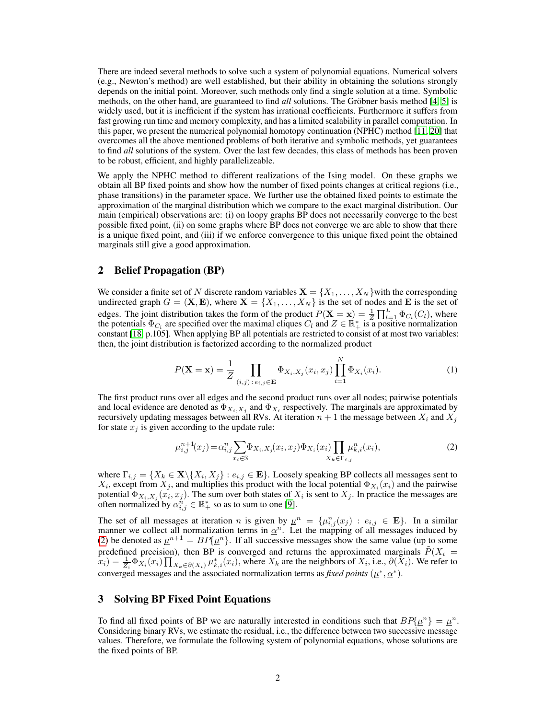There are indeed several methods to solve such a system of polynomial equations. Numerical solvers (e.g., Newton's method) are well established, but their ability in obtaining the solutions strongly depends on the initial point. Moreover, such methods only find a single solution at a time. Symbolic methods, on the other hand, are guaranteed to find *all* solutions. The Gröbner basis method [\[4,](#page-4-8) [5\]](#page-4-9) is widely used, but it is inefficient if the system has irrational coefficients. Furthermore it suffers from fast growing run time and memory complexity, and has a limited scalability in parallel computation. In this paper, we present the numerical polynomial homotopy continuation (NPHC) method [\[11,](#page-4-10) [20\]](#page-4-11) that overcomes all the above mentioned problems of both iterative and symbolic methods, yet guarantees to find *all* solutions of the system. Over the last few decades, this class of methods has been proven to be robust, efficient, and highly parallelizeable.

We apply the NPHC method to different realizations of the Ising model. On these graphs we obtain all BP fixed points and show how the number of fixed points changes at critical regions (i.e., phase transitions) in the parameter space. We further use the obtained fixed points to estimate the approximation of the marginal distribution which we compare to the exact marginal distribution. Our main (empirical) observations are: (i) on loopy graphs BP does not necessarily converge to the best possible fixed point, (ii) on some graphs where BP does not converge we are able to show that there is a unique fixed point, and (iii) if we enforce convergence to this unique fixed point the obtained marginals still give a good approximation.

### 2 Belief Propagation (BP)

We consider a finite set of N discrete random variables  $\mathbf{X} = \{X_1, \dots, X_N\}$  with the corresponding undirected graph  $G = (\mathbf{X}, \mathbf{E})$ , where  $\mathbf{X} = \{X_1, \dots, X_N\}$  is the set of nodes and **E** is the set of edges. The joint distribution takes the form of the product  $P(\mathbf{X} = \mathbf{x}) = \frac{1}{Z} \prod_{l=1}^{L} \Phi_{C_l}(C_l)$ , where the potentials  $\Phi_{C_l}$  are specified over the maximal cliques  $C_l$  and  $Z \in \mathbb{R}_+^*$  is a positive normalization constant [\[18,](#page-4-0) p.105]. When applying BP all potentials are restricted to consist of at most two variables: then, the joint distribution is factorized according to the normalized product

$$
P(\mathbf{X} = \mathbf{x}) = \frac{1}{Z} \prod_{(i,j): e_{i,j} \in \mathbf{E}} \Phi_{X_i, X_j}(x_i, x_j) \prod_{i=1}^N \Phi_{X_i}(x_i).
$$
 (1)

The first product runs over all edges and the second product runs over all nodes; pairwise potentials and local evidence are denoted as  $\Phi_{X_i, X_j}$  and  $\Phi_{X_i}$  respectively. The marginals are approximated by recursively updating messages between all RVs. At iteration  $n + 1$  the message between  $X_i$  and  $X_j$ for state  $x_j$  is given according to the update rule:

<span id="page-1-0"></span>
$$
\mu_{i,j}^{n+1}(x_j) = \alpha_{i,j}^n \sum_{x_i \in \mathbb{S}} \Phi_{X_i, X_j}(x_i, x_j) \Phi_{X_i}(x_i) \prod_{X_k \in \Gamma_{i,j}} \mu_{k,i}^n(x_i),
$$
\n(2)

where  $\Gamma_{i,j} = \{X_k \in \mathbf{X} \setminus \{X_i, X_j\} : e_{i,j} \in \mathbf{E}\}\)$ . Loosely speaking BP collects all messages sent to  $X_i$ , except from  $X_j$ , and multiplies this product with the local potential  $\Phi_{X_i}(x_i)$  and the pairwise potential  $\Phi_{X_i, X_j}(x_i, x_j)$ . The sum over both states of  $X_i$  is sent to  $X_j$ . In practice the messages are often normalized by  $\alpha_{i,j}^{n'} \in \mathbb{R}_+^*$  so as to sum to one [\[9\]](#page-4-12).

The set of all messages at iteration *n* is given by  $\mu^n = {\mu_{i,j}^n(x_j) : e_{i,j} \in E}$ . In a similar manner we collect all normalization terms in  $\alpha^n$ . Let the mapping of all messages induced by [\(2\)](#page-1-0) be denoted as  $\mu^{n+1} = BP\{\mu^{n}\}\.$  If all successive messages show the same value (up to some predefined precision), then BP is converged and returns the approximated marginals  $\tilde{P}(X_i =$  $(x_i) = \frac{1}{Z_i} \Phi_{X_i}(x_i) \prod_{X_k \in \partial(X_i)} \mu_{k,i}^*(x_i)$ , where  $X_k$  are the neighbors of  $X_i$ , i.e.,  $\partial(\overline{X}_i)$ . We refer to converged messages and the associated normalization terms as *fixed points* ( $\mu^*, \alpha^*$ ).

## 3 Solving BP Fixed Point Equations

To find all fixed points of BP we are naturally interested in conditions such that  $BP\{\mu^n\} = \mu^n$ . Considering binary RVs, we estimate the residual, i.e., the difference between two successive message values. Therefore, we formulate the following system of polynomial equations, whose solutions are the fixed points of BP.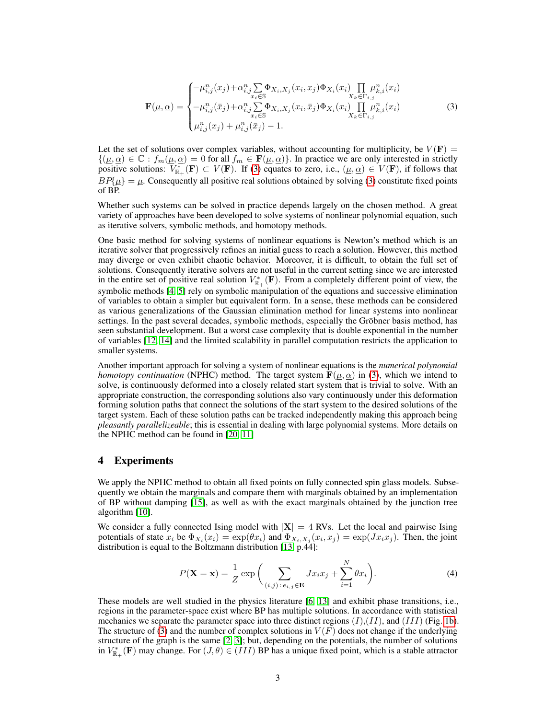<span id="page-2-0"></span>
$$
\mathbf{F}(\mu,\underline{\alpha}) = \begin{cases} -\mu_{i,j}^n(x_j) + \alpha_{i,j}^n \sum_{x_i \in \mathbb{S}} \Phi_{X_i,X_j}(x_i,x_j) \Phi_{X_i}(x_i) \prod_{X_k \in \Gamma_{i,j}} \mu_{k,i}^n(x_i) \\ -\mu_{i,j}^n(\bar{x}_j) + \alpha_{i,j}^n \sum_{x_i \in \mathbb{S}} \Phi_{X_i,X_j}(x_i,\bar{x}_j) \Phi_{X_i}(x_i) \prod_{X_k \in \Gamma_{i,j}} \mu_{k,i}^n(x_i) \\ \mu_{i,j}^n(x_j) + \mu_{i,j}^n(\bar{x}_j) - 1. \end{cases}
$$
(3)

Let the set of solutions over complex variables, without accounting for multiplicity, be  $V(\mathbf{F}) =$  $\{(\mu, \alpha) \in \mathbb{C} : f_m(\mu, \alpha) = 0 \text{ for all } f_m \in \mathbf{F}(\mu, \alpha)\}.$  In practice we are only interested in strictly positive solutions:  $V_{\mathbb{R}_+}^*(\mathbf{F}) \subset V(\mathbf{F})$ . If [\(3\)](#page-2-0) equates to zero, i.e.,  $(\mu, \alpha) \in V(\mathbf{F})$ , if follows that  $BP{\mu} = \mu$ . Consequently all positive real solutions obtained by solving [\(3\)](#page-2-0) constitute fixed points of BP.

Whether such systems can be solved in practice depends largely on the chosen method. A great variety of approaches have been developed to solve systems of nonlinear polynomial equation, such as iterative solvers, symbolic methods, and homotopy methods.

One basic method for solving systems of nonlinear equations is Newton's method which is an iterative solver that progressively refines an initial guess to reach a solution. However, this method may diverge or even exhibit chaotic behavior. Moreover, it is difficult, to obtain the full set of solutions. Consequently iterative solvers are not useful in the current setting since we are interested in the entire set of positive real solution  $V_{\mathbb{R}_+}^*$  (F). From a completely different point of view, the symbolic methods [\[4,](#page-4-8) [5\]](#page-4-9) rely on symbolic manipulation of the equations and successive elimination of variables to obtain a simpler but equivalent form. In a sense, these methods can be considered as various generalizations of the Gaussian elimination method for linear systems into nonlinear settings. In the past several decades, symbolic methods, especially the Gröbner basis method, has seen substantial development. But a worst case complexity that is double exponential in the number of variables [\[12,](#page-4-13) [14\]](#page-4-14) and the limited scalability in parallel computation restricts the application to smaller systems.

Another important approach for solving a system of nonlinear equations is the *numerical polynomial homotopy continuation* (NPHC) method. The target system  $\mathbf{F}(\mu, \alpha)$  in [\(3\)](#page-2-0), which we intend to solve, is continuously deformed into a closely related start system that is trivial to solve. With an appropriate construction, the corresponding solutions also vary continuously under this deformation forming solution paths that connect the solutions of the start system to the desired solutions of the target system. Each of these solution paths can be tracked independently making this approach being *pleasantly parallelizeable*; this is essential in dealing with large polynomial systems. More details on the NPHC method can be found in [\[20,](#page-4-11) [11\]](#page-4-10)

### 4 Experiments

We apply the NPHC method to obtain all fixed points on fully connected spin glass models. Subsequently we obtain the marginals and compare them with marginals obtained by an implementation of BP without damping [\[15\]](#page-4-15), as well as with the exact marginals obtained by the junction tree algorithm [\[10\]](#page-4-16).

We consider a fully connected Ising model with  $|\mathbf{X}| = 4$  RVs. Let the local and pairwise Ising potentials of state  $x_i$  be  $\Phi_{X_i}(x_i) = \exp(\theta x_i)$  and  $\Phi_{X_i, X_j}(x_i, x_j) = \exp(Jx_i x_j)$ . Then, the joint distribution is equal to the Boltzmann distribution [\[13,](#page-4-17) p.44]:

$$
P(\mathbf{X} = \mathbf{x}) = \frac{1}{Z} \exp\bigg(\sum_{(i,j):\,e_{i,j} \in \mathbf{E}} Jx_i x_j + \sum_{i=1}^N \theta x_i\bigg). \tag{4}
$$

These models are well studied in the physics literature [\[6,](#page-4-18) [13\]](#page-4-17) and exhibit phase transitions, i.e., regions in the parameter-space exist where BP has multiple solutions. In accordance with statistical mechanics we separate the parameter space into three distinct regions  $(I)$ , $(II)$ , and  $(III)$  (Fig. [1b\)](#page-3-0). The structure of [\(3\)](#page-2-0) and the number of complex solutions in  $V(F)$  does not change if the underlying structure of the graph is the same [\[2,](#page-4-19) [3\]](#page-4-20); but, depending on the potentials, the number of solutions in  $V_{\mathbb{R}_+}^*$  (F) may change. For  $(J, \theta) \in (III)$  BP has a unique fixed point, which is a stable attractor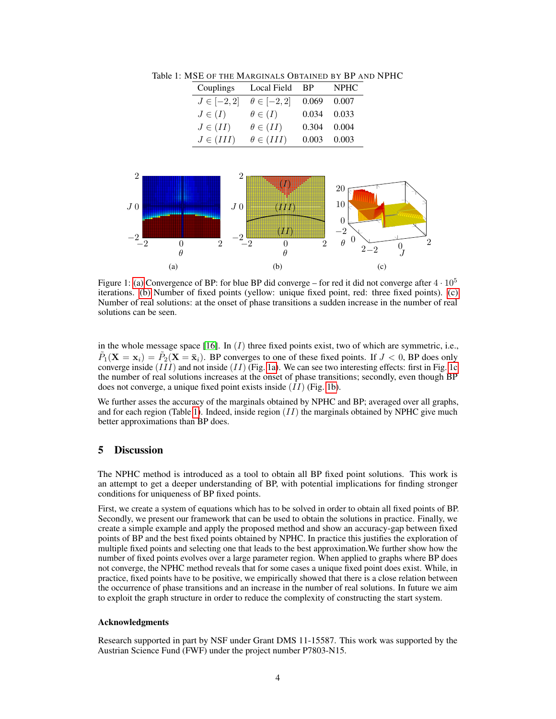<span id="page-3-3"></span>Table 1: MSE OF THE MARGINALS OBTAINED BY BP AND NPHC

<span id="page-3-2"></span>

| Couplings       | Local Field         | <b>BP</b> | <b>NPHC</b> |
|-----------------|---------------------|-----------|-------------|
| $J \in [-2, 2]$ | $\theta \in [-2,2]$ | 0.069     | 0.007       |
| $J\in(I)$       | $\theta \in (I)$    | 0.034     | 0.033       |
| $J\in(II)$      | $\theta \in (II)$   | 0.304     | 0.004       |
| $J \in (III)$   | $\theta \in (III)$  | 0.003     | 0.003       |

<span id="page-3-1"></span>

<span id="page-3-0"></span>Figure 1: [\(a\)](#page-3-1) Convergence of BP: for blue BP did converge – for red it did not converge after  $4 \cdot 10^5$ iterations. [\(b\)](#page-3-0) Number of fixed points (yellow: unique fixed point, red: three fixed points). [\(c\)](#page-3-2) Number of real solutions: at the onset of phase transitions a sudden increase in the number of real solutions can be seen.

in the whole message space [\[16\]](#page-4-21). In  $(I)$  three fixed points exist, two of which are symmetric, i.e.,  $\tilde{P}_1(\mathbf{X} = \mathbf{x}_i) = \tilde{P}_2(\mathbf{X} = \bar{\mathbf{x}}_i)$ . BP converges to one of these fixed points. If  $J < 0$ , BP does only converge inside  $(III)$  and not inside  $(II)$  (Fig. [1a\)](#page-3-1). We can see two interesting effects: first in Fig. [1c](#page-3-2) the number of real solutions increases at the onset of phase transitions; secondly, even though BP does not converge, a unique fixed point exists inside (II) (Fig. [1b\)](#page-3-0).

We further asses the accuracy of the marginals obtained by NPHC and BP; averaged over all graphs, and for each region (Table [1\)](#page-3-3). Indeed, inside region  $(II)$  the marginals obtained by NPHC give much better approximations than BP does.

## 5 Discussion

The NPHC method is introduced as a tool to obtain all BP fixed point solutions. This work is an attempt to get a deeper understanding of BP, with potential implications for finding stronger conditions for uniqueness of BP fixed points.

First, we create a system of equations which has to be solved in order to obtain all fixed points of BP. Secondly, we present our framework that can be used to obtain the solutions in practice. Finally, we create a simple example and apply the proposed method and show an accuracy-gap between fixed points of BP and the best fixed points obtained by NPHC. In practice this justifies the exploration of multiple fixed points and selecting one that leads to the best approximation.We further show how the number of fixed points evolves over a large parameter region. When applied to graphs where BP does not converge, the NPHC method reveals that for some cases a unique fixed point does exist. While, in practice, fixed points have to be positive, we empirically showed that there is a close relation between the occurrence of phase transitions and an increase in the number of real solutions. In future we aim to exploit the graph structure in order to reduce the complexity of constructing the start system.

#### Acknowledgments

Research supported in part by NSF under Grant DMS 11-15587. This work was supported by the Austrian Science Fund (FWF) under the project number P7803-N15.